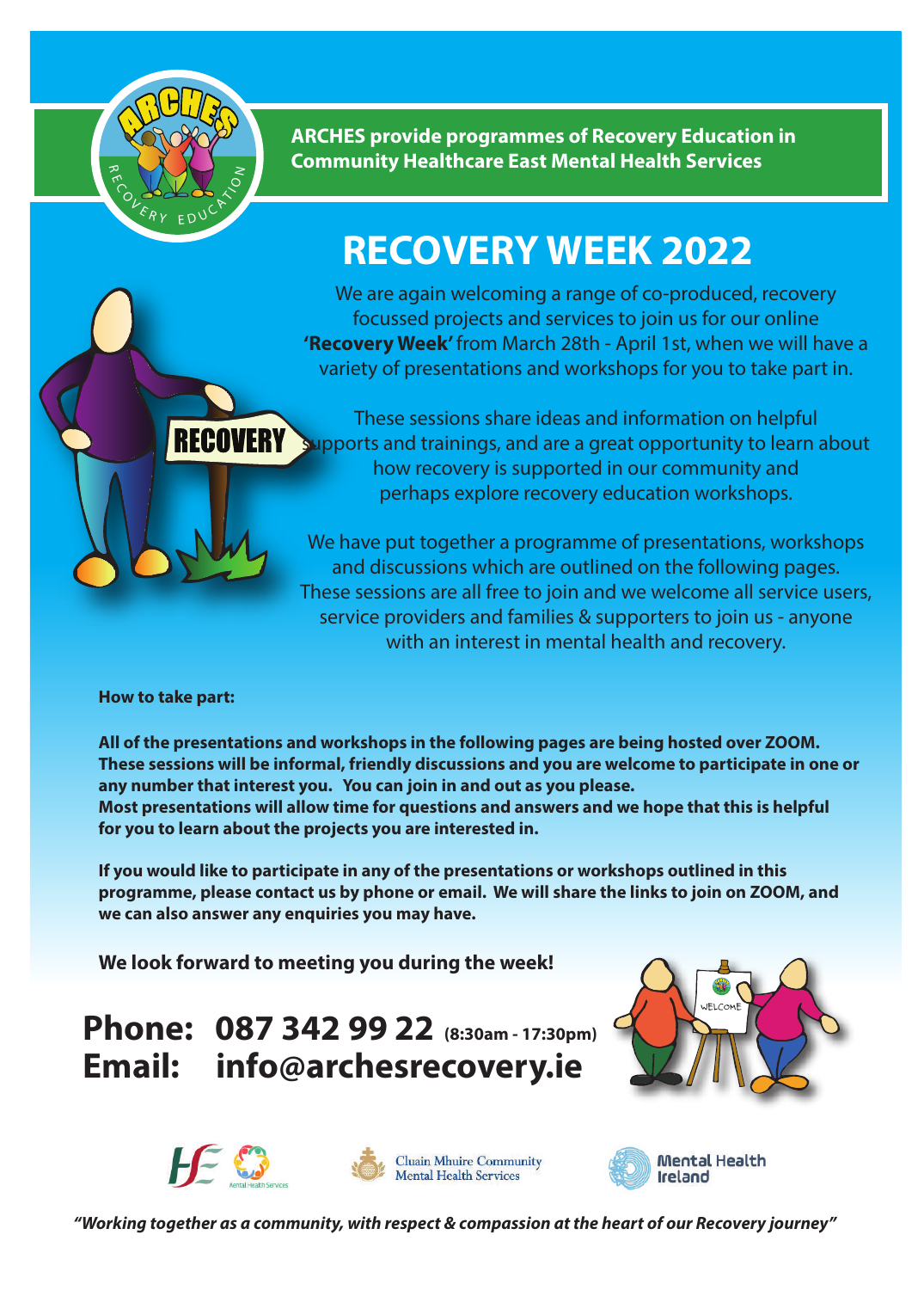

**ARCHES provide programmes of Recovery Education in Community Healthcare East Mental Health Services** 

## **RECOVERY WEEK 2022**

We are again welcoming a range of co-produced, recovery focussed projects and services to join us for our online **'Recovery Week'** from March 28th - April 1st, when we will have a variety of presentations and workshops for you to take part in.

These sessions share ideas and information on helpful RECOVERY Supports and trainings, and are a great opportunity to learn about how recovery is supported in our community and perhaps explore recovery education workshops.

> We have put together a programme of presentations, workshops and discussions which are outlined on the following pages. These sessions are all free to join and we welcome all service users, service providers and families & supporters to join us - anyone with an interest in mental health and recovery.

**How to take part:**

**All of the presentations and workshops in the following pages are being hosted over ZOOM. These sessions will be informal, friendly discussions and you are welcome to participate in one or any number that interest you. You can join in and out as you please. Most presentations will allow time for questions and answers and we hope that this is helpful for you to learn about the projects you are interested in.** 

**If you would like to participate in any of the presentations or workshops outlined in this programme, please contact us by phone or email. We will share the links to join on ZOOM, and we can also answer any enquiries you may have.**

**We look forward to meeting you during the week!**

**Phone: 087 342 99 22 (8:30am - 17:30pm) Email: info@archesrecovery.ie**









*"Working together as a community, with respect & compassion at the heart of our Recovery journey"*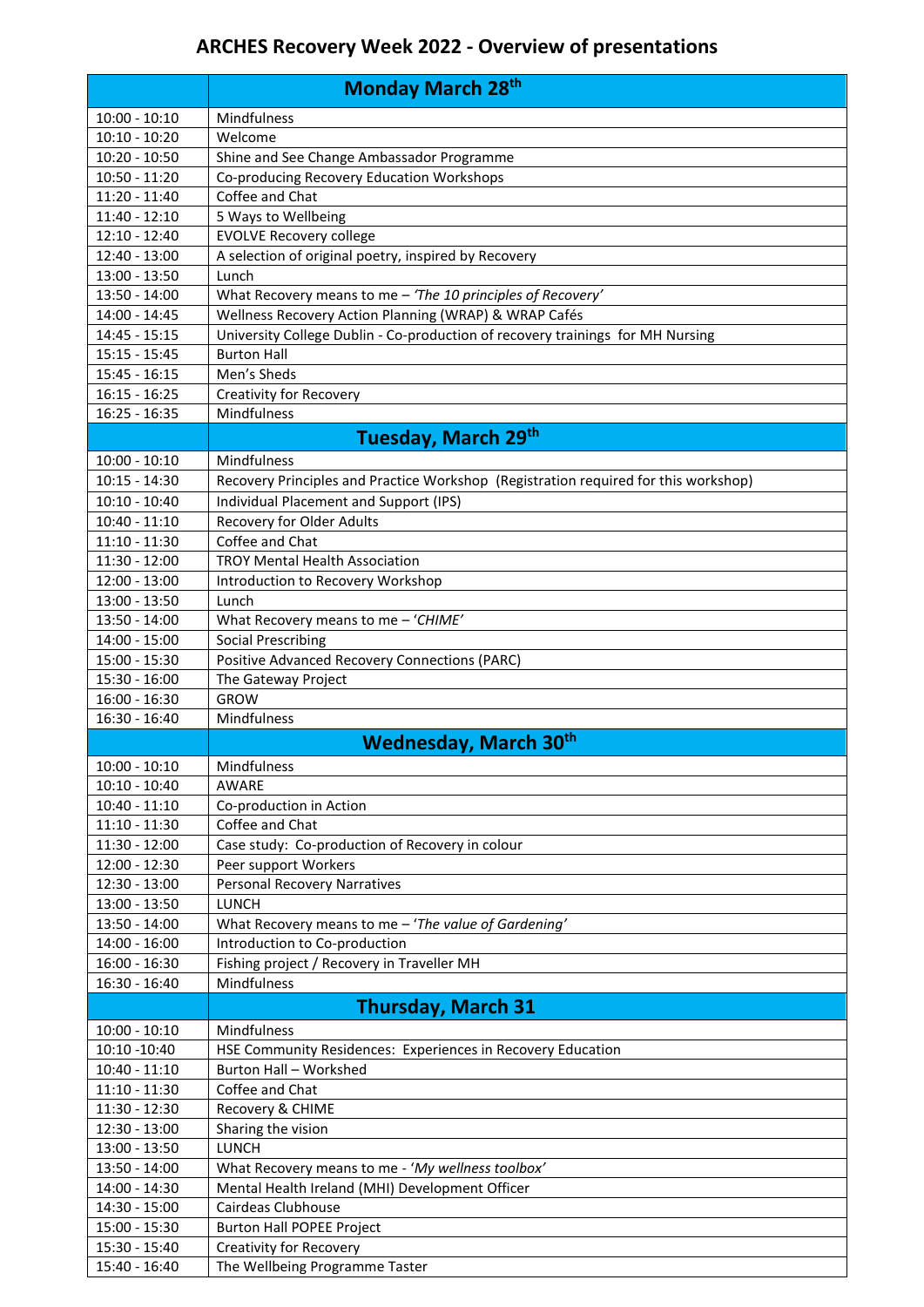## **ARCHES Recovery Week 2022 - Overview of presentations**

|                                    | <b>Monday March 28th</b>                                                                             |
|------------------------------------|------------------------------------------------------------------------------------------------------|
| $10:00 - 10:10$                    | Mindfulness                                                                                          |
| $10:10 - 10:20$                    | Welcome                                                                                              |
| $10:20 - 10:50$                    | Shine and See Change Ambassador Programme                                                            |
| $10:50 - 11:20$                    | Co-producing Recovery Education Workshops                                                            |
| 11:20 - 11:40                      | Coffee and Chat                                                                                      |
| $11:40 - 12:10$                    | 5 Ways to Wellbeing                                                                                  |
| $12:10 - 12:40$                    | <b>EVOLVE Recovery college</b>                                                                       |
| 12:40 - 13:00                      | A selection of original poetry, inspired by Recovery                                                 |
| 13:00 - 13:50                      | Lunch                                                                                                |
| 13:50 - 14:00                      | What Recovery means to me - 'The 10 principles of Recovery'                                          |
| 14:00 - 14:45                      | Wellness Recovery Action Planning (WRAP) & WRAP Cafés                                                |
| 14:45 - 15:15<br>$15:15 - 15:45$   | University College Dublin - Co-production of recovery trainings for MH Nursing<br><b>Burton Hall</b> |
| $15:45 - 16:15$                    | Men's Sheds                                                                                          |
| $16:15 - 16:25$                    | <b>Creativity for Recovery</b>                                                                       |
| 16:25 - 16:35                      | Mindfulness                                                                                          |
|                                    |                                                                                                      |
|                                    | Tuesday, March 29th                                                                                  |
| $10:00 - 10:10$                    | Mindfulness                                                                                          |
| $10:15 - 14:30$                    | Recovery Principles and Practice Workshop (Registration required for this workshop)                  |
| $10:10 - 10:40$                    | Individual Placement and Support (IPS)                                                               |
| $10:40 - 11:10$<br>$11:10 - 11:30$ | Recovery for Older Adults<br>Coffee and Chat                                                         |
| 11:30 - 12:00                      | <b>TROY Mental Health Association</b>                                                                |
| 12:00 - 13:00                      | Introduction to Recovery Workshop                                                                    |
| 13:00 - 13:50                      | Lunch                                                                                                |
| 13:50 - 14:00                      | What Recovery means to me - 'CHIME'                                                                  |
| $14:00 - 15:00$                    | <b>Social Prescribing</b>                                                                            |
| 15:00 - 15:30                      | Positive Advanced Recovery Connections (PARC)                                                        |
| 15:30 - 16:00                      | The Gateway Project                                                                                  |
| $16:00 - 16:30$                    | <b>GROW</b>                                                                                          |
| 16:30 - 16:40                      | Mindfulness                                                                                          |
|                                    | <b>Wednesday, March 30th</b>                                                                         |
| $10:00 - 10:10$                    | Mindfulness                                                                                          |
| $10:10 - 10:40$                    | AWARE                                                                                                |
| $10:40 - 11:10$                    | Co-production in Action                                                                              |
| $11:10 - 11:30$                    | Coffee and Chat                                                                                      |
| 11:30 - 12:00                      | Case study: Co-production of Recovery in colour                                                      |
| 12:00 - 12:30                      | Peer support Workers                                                                                 |
| 12:30 - 13:00<br>13:00 - 13:50     | <b>Personal Recovery Narratives</b><br><b>LUNCH</b>                                                  |
| 13:50 - 14:00                      | What Recovery means to me - 'The value of Gardening'                                                 |
| $14:00 - 16:00$                    | Introduction to Co-production                                                                        |
| 16:00 - 16:30                      | Fishing project / Recovery in Traveller MH                                                           |
| 16:30 - 16:40                      | Mindfulness                                                                                          |
|                                    | <b>Thursday, March 31</b>                                                                            |
| $10:00 - 10:10$                    | Mindfulness                                                                                          |
| 10:10 -10:40                       | HSE Community Residences: Experiences in Recovery Education                                          |
| $10:40 - 11:10$                    | Burton Hall - Workshed                                                                               |
| $11:10 - 11:30$                    | Coffee and Chat                                                                                      |
| 11:30 - 12:30                      | Recovery & CHIME                                                                                     |
| 12:30 - 13:00                      | Sharing the vision                                                                                   |
| 13:00 - 13:50                      | <b>LUNCH</b>                                                                                         |
| 13:50 - 14:00                      | What Recovery means to me - 'My wellness toolbox'                                                    |
| 14:00 - 14:30                      | Mental Health Ireland (MHI) Development Officer                                                      |
| 14:30 - 15:00                      | Cairdeas Clubhouse                                                                                   |
| 15:00 - 15:30                      | <b>Burton Hall POPEE Project</b>                                                                     |
| 15:30 - 15:40                      | <b>Creativity for Recovery</b>                                                                       |
| 15:40 - 16:40                      | The Wellbeing Programme Taster                                                                       |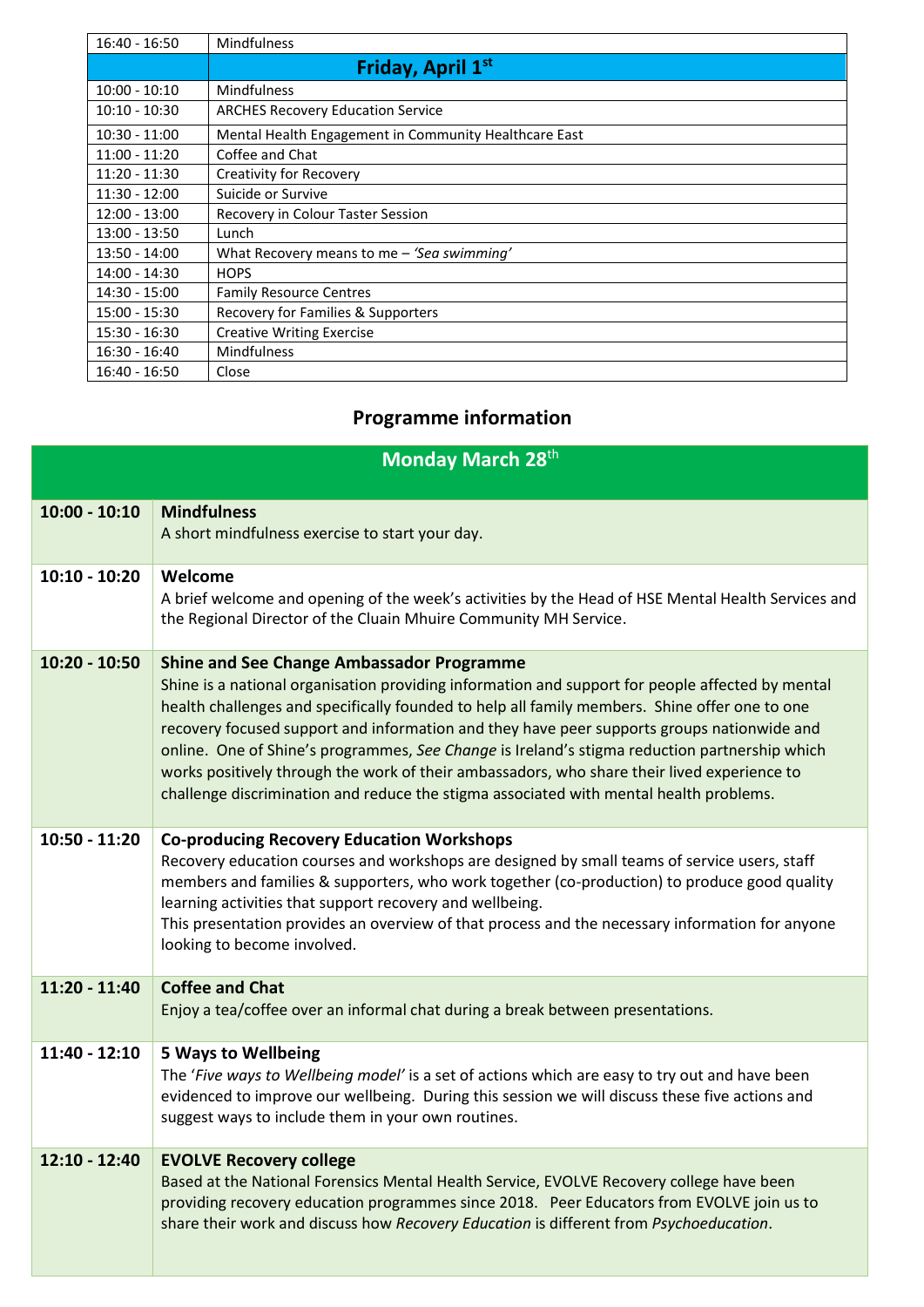| $16:40 - 16:50$ | <b>Mindfulness</b>                                    |
|-----------------|-------------------------------------------------------|
|                 | Friday, April 1st                                     |
| $10:00 - 10:10$ | <b>Mindfulness</b>                                    |
| $10:10 - 10:30$ | <b>ARCHES Recovery Education Service</b>              |
| $10:30 - 11:00$ | Mental Health Engagement in Community Healthcare East |
| $11:00 - 11:20$ | Coffee and Chat                                       |
| $11:20 - 11:30$ | <b>Creativity for Recovery</b>                        |
| $11:30 - 12:00$ | Suicide or Survive                                    |
| $12:00 - 13:00$ | Recovery in Colour Taster Session                     |
| $13:00 - 13:50$ | Lunch                                                 |
| $13:50 - 14:00$ | What Recovery means to me - 'Sea swimming'            |
| 14:00 - 14:30   | <b>HOPS</b>                                           |
| 14:30 - 15:00   | <b>Family Resource Centres</b>                        |
| 15:00 - 15:30   | Recovery for Families & Supporters                    |
| $15:30 - 16:30$ | <b>Creative Writing Exercise</b>                      |
| $16:30 - 16:40$ | <b>Mindfulness</b>                                    |
| $16:40 - 16:50$ | Close                                                 |

## **Programme information**

| Monday March 28th |                                                                                                                                                                                                                                                                                                                                                                                                                                                                                                                                                                                                                                               |
|-------------------|-----------------------------------------------------------------------------------------------------------------------------------------------------------------------------------------------------------------------------------------------------------------------------------------------------------------------------------------------------------------------------------------------------------------------------------------------------------------------------------------------------------------------------------------------------------------------------------------------------------------------------------------------|
| $10:00 - 10:10$   | <b>Mindfulness</b><br>A short mindfulness exercise to start your day.                                                                                                                                                                                                                                                                                                                                                                                                                                                                                                                                                                         |
| $10:10 - 10:20$   | Welcome<br>A brief welcome and opening of the week's activities by the Head of HSE Mental Health Services and<br>the Regional Director of the Cluain Mhuire Community MH Service.                                                                                                                                                                                                                                                                                                                                                                                                                                                             |
| 10:20 - 10:50     | <b>Shine and See Change Ambassador Programme</b><br>Shine is a national organisation providing information and support for people affected by mental<br>health challenges and specifically founded to help all family members. Shine offer one to one<br>recovery focused support and information and they have peer supports groups nationwide and<br>online. One of Shine's programmes, See Change is Ireland's stigma reduction partnership which<br>works positively through the work of their ambassadors, who share their lived experience to<br>challenge discrimination and reduce the stigma associated with mental health problems. |
| $10:50 - 11:20$   | <b>Co-producing Recovery Education Workshops</b><br>Recovery education courses and workshops are designed by small teams of service users, staff<br>members and families & supporters, who work together (co-production) to produce good quality<br>learning activities that support recovery and wellbeing.<br>This presentation provides an overview of that process and the necessary information for anyone<br>looking to become involved.                                                                                                                                                                                                |
| $11:20 - 11:40$   | <b>Coffee and Chat</b><br>Enjoy a tea/coffee over an informal chat during a break between presentations.                                                                                                                                                                                                                                                                                                                                                                                                                                                                                                                                      |
| $11:40 - 12:10$   | <b>5 Ways to Wellbeing</b><br>The 'Five ways to Wellbeing model' is a set of actions which are easy to try out and have been<br>evidenced to improve our wellbeing. During this session we will discuss these five actions and<br>suggest ways to include them in your own routines.                                                                                                                                                                                                                                                                                                                                                          |
| $12:10 - 12:40$   | <b>EVOLVE Recovery college</b><br>Based at the National Forensics Mental Health Service, EVOLVE Recovery college have been<br>providing recovery education programmes since 2018. Peer Educators from EVOLVE join us to<br>share their work and discuss how Recovery Education is different from Psychoeducation.                                                                                                                                                                                                                                                                                                                             |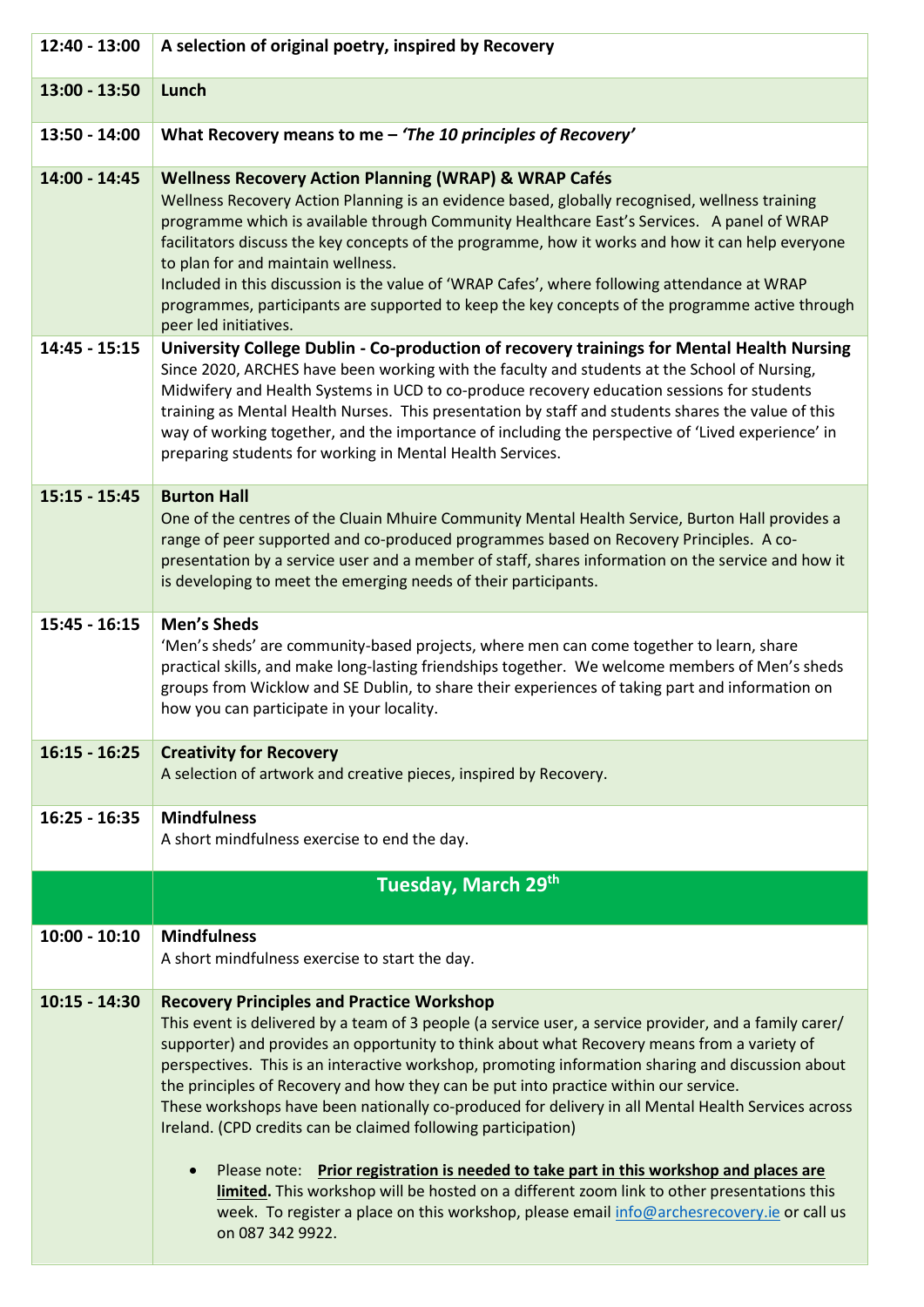| 12:40 - 13:00   | A selection of original poetry, inspired by Recovery                                                                                                                                                                                                                                                                                                                                                                                                                                                                                                                                                                                                                                                                                                                                                                                                                                                                                                 |
|-----------------|------------------------------------------------------------------------------------------------------------------------------------------------------------------------------------------------------------------------------------------------------------------------------------------------------------------------------------------------------------------------------------------------------------------------------------------------------------------------------------------------------------------------------------------------------------------------------------------------------------------------------------------------------------------------------------------------------------------------------------------------------------------------------------------------------------------------------------------------------------------------------------------------------------------------------------------------------|
| 13:00 - 13:50   | Lunch                                                                                                                                                                                                                                                                                                                                                                                                                                                                                                                                                                                                                                                                                                                                                                                                                                                                                                                                                |
| 13:50 - 14:00   | What Recovery means to me - 'The 10 principles of Recovery'                                                                                                                                                                                                                                                                                                                                                                                                                                                                                                                                                                                                                                                                                                                                                                                                                                                                                          |
| 14:00 - 14:45   | <b>Wellness Recovery Action Planning (WRAP) &amp; WRAP Cafés</b><br>Wellness Recovery Action Planning is an evidence based, globally recognised, wellness training<br>programme which is available through Community Healthcare East's Services. A panel of WRAP<br>facilitators discuss the key concepts of the programme, how it works and how it can help everyone<br>to plan for and maintain wellness.<br>Included in this discussion is the value of 'WRAP Cafes', where following attendance at WRAP<br>programmes, participants are supported to keep the key concepts of the programme active through<br>peer led initiatives.                                                                                                                                                                                                                                                                                                              |
| $14:45 - 15:15$ | University College Dublin - Co-production of recovery trainings for Mental Health Nursing<br>Since 2020, ARCHES have been working with the faculty and students at the School of Nursing,<br>Midwifery and Health Systems in UCD to co-produce recovery education sessions for students<br>training as Mental Health Nurses. This presentation by staff and students shares the value of this<br>way of working together, and the importance of including the perspective of 'Lived experience' in<br>preparing students for working in Mental Health Services.                                                                                                                                                                                                                                                                                                                                                                                      |
| $15:15 - 15:45$ | <b>Burton Hall</b><br>One of the centres of the Cluain Mhuire Community Mental Health Service, Burton Hall provides a<br>range of peer supported and co-produced programmes based on Recovery Principles. A co-<br>presentation by a service user and a member of staff, shares information on the service and how it<br>is developing to meet the emerging needs of their participants.                                                                                                                                                                                                                                                                                                                                                                                                                                                                                                                                                             |
| $15:45 - 16:15$ | <b>Men's Sheds</b><br>'Men's sheds' are community-based projects, where men can come together to learn, share<br>practical skills, and make long-lasting friendships together. We welcome members of Men's sheds<br>groups from Wicklow and SE Dublin, to share their experiences of taking part and information on<br>how you can participate in your locality.                                                                                                                                                                                                                                                                                                                                                                                                                                                                                                                                                                                     |
| $16:15 - 16:25$ | <b>Creativity for Recovery</b><br>A selection of artwork and creative pieces, inspired by Recovery.                                                                                                                                                                                                                                                                                                                                                                                                                                                                                                                                                                                                                                                                                                                                                                                                                                                  |
| $16:25 - 16:35$ | <b>Mindfulness</b><br>A short mindfulness exercise to end the day.                                                                                                                                                                                                                                                                                                                                                                                                                                                                                                                                                                                                                                                                                                                                                                                                                                                                                   |
|                 | Tuesday, March 29th                                                                                                                                                                                                                                                                                                                                                                                                                                                                                                                                                                                                                                                                                                                                                                                                                                                                                                                                  |
| $10:00 - 10:10$ | <b>Mindfulness</b><br>A short mindfulness exercise to start the day.                                                                                                                                                                                                                                                                                                                                                                                                                                                                                                                                                                                                                                                                                                                                                                                                                                                                                 |
| $10:15 - 14:30$ | <b>Recovery Principles and Practice Workshop</b><br>This event is delivered by a team of 3 people (a service user, a service provider, and a family carer/<br>supporter) and provides an opportunity to think about what Recovery means from a variety of<br>perspectives. This is an interactive workshop, promoting information sharing and discussion about<br>the principles of Recovery and how they can be put into practice within our service.<br>These workshops have been nationally co-produced for delivery in all Mental Health Services across<br>Ireland. (CPD credits can be claimed following participation)<br>Please note: Prior registration is needed to take part in this workshop and places are<br>$\bullet$<br>limited. This workshop will be hosted on a different zoom link to other presentations this<br>week. To register a place on this workshop, please email info@archesrecovery.ie or call us<br>on 087 342 9922. |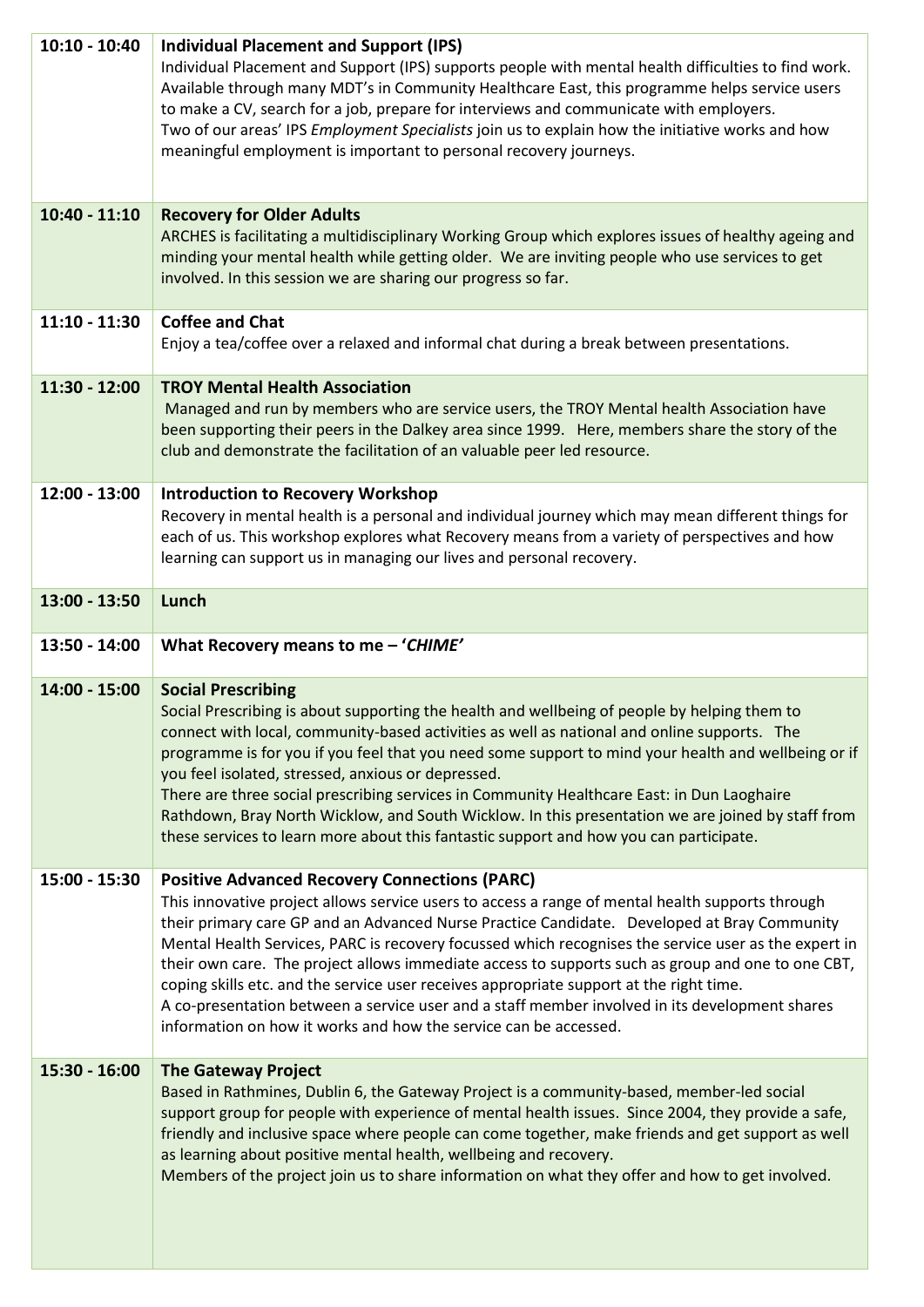| $10:10 - 10:40$ | <b>Individual Placement and Support (IPS)</b><br>Individual Placement and Support (IPS) supports people with mental health difficulties to find work.<br>Available through many MDT's in Community Healthcare East, this programme helps service users<br>to make a CV, search for a job, prepare for interviews and communicate with employers.<br>Two of our areas' IPS Employment Specialists join us to explain how the initiative works and how<br>meaningful employment is important to personal recovery journeys.                                                                                                                                                                                                             |
|-----------------|---------------------------------------------------------------------------------------------------------------------------------------------------------------------------------------------------------------------------------------------------------------------------------------------------------------------------------------------------------------------------------------------------------------------------------------------------------------------------------------------------------------------------------------------------------------------------------------------------------------------------------------------------------------------------------------------------------------------------------------|
| $10:40 - 11:10$ | <b>Recovery for Older Adults</b><br>ARCHES is facilitating a multidisciplinary Working Group which explores issues of healthy ageing and<br>minding your mental health while getting older. We are inviting people who use services to get<br>involved. In this session we are sharing our progress so far.                                                                                                                                                                                                                                                                                                                                                                                                                           |
| $11:10 - 11:30$ | <b>Coffee and Chat</b><br>Enjoy a tea/coffee over a relaxed and informal chat during a break between presentations.                                                                                                                                                                                                                                                                                                                                                                                                                                                                                                                                                                                                                   |
| $11:30 - 12:00$ | <b>TROY Mental Health Association</b><br>Managed and run by members who are service users, the TROY Mental health Association have<br>been supporting their peers in the Dalkey area since 1999. Here, members share the story of the<br>club and demonstrate the facilitation of an valuable peer led resource.                                                                                                                                                                                                                                                                                                                                                                                                                      |
| 12:00 - 13:00   | <b>Introduction to Recovery Workshop</b><br>Recovery in mental health is a personal and individual journey which may mean different things for<br>each of us. This workshop explores what Recovery means from a variety of perspectives and how<br>learning can support us in managing our lives and personal recovery.                                                                                                                                                                                                                                                                                                                                                                                                               |
| $13:00 - 13:50$ | Lunch                                                                                                                                                                                                                                                                                                                                                                                                                                                                                                                                                                                                                                                                                                                                 |
| 13:50 - 14:00   | What Recovery means to me - 'CHIME'                                                                                                                                                                                                                                                                                                                                                                                                                                                                                                                                                                                                                                                                                                   |
| 14:00 - 15:00   | <b>Social Prescribing</b><br>Social Prescribing is about supporting the health and wellbeing of people by helping them to<br>connect with local, community-based activities as well as national and online supports. The<br>programme is for you if you feel that you need some support to mind your health and wellbeing or if<br>you feel isolated, stressed, anxious or depressed.<br>There are three social prescribing services in Community Healthcare East: in Dun Laoghaire<br>Rathdown, Bray North Wicklow, and South Wicklow. In this presentation we are joined by staff from<br>these services to learn more about this fantastic support and how you can participate.                                                    |
| 15:00 - 15:30   | <b>Positive Advanced Recovery Connections (PARC)</b><br>This innovative project allows service users to access a range of mental health supports through<br>their primary care GP and an Advanced Nurse Practice Candidate. Developed at Bray Community<br>Mental Health Services, PARC is recovery focussed which recognises the service user as the expert in<br>their own care. The project allows immediate access to supports such as group and one to one CBT,<br>coping skills etc. and the service user receives appropriate support at the right time.<br>A co-presentation between a service user and a staff member involved in its development shares<br>information on how it works and how the service can be accessed. |
| 15:30 - 16:00   | <b>The Gateway Project</b><br>Based in Rathmines, Dublin 6, the Gateway Project is a community-based, member-led social<br>support group for people with experience of mental health issues. Since 2004, they provide a safe,<br>friendly and inclusive space where people can come together, make friends and get support as well<br>as learning about positive mental health, wellbeing and recovery.<br>Members of the project join us to share information on what they offer and how to get involved.                                                                                                                                                                                                                            |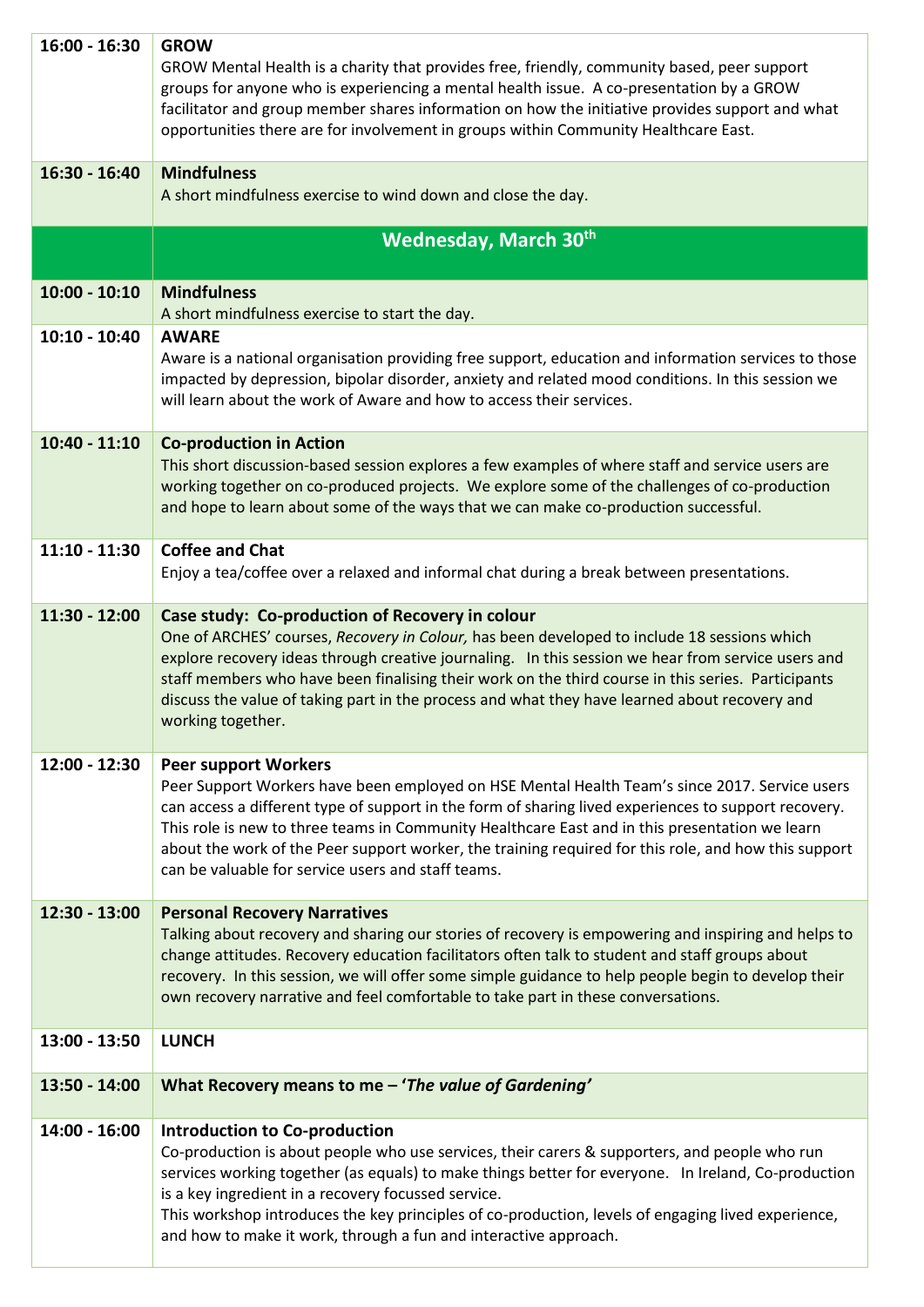| $16:00 - 16:30$ | <b>GROW</b><br>GROW Mental Health is a charity that provides free, friendly, community based, peer support<br>groups for anyone who is experiencing a mental health issue. A co-presentation by a GROW<br>facilitator and group member shares information on how the initiative provides support and what<br>opportunities there are for involvement in groups within Community Healthcare East.                                                                                                     |
|-----------------|------------------------------------------------------------------------------------------------------------------------------------------------------------------------------------------------------------------------------------------------------------------------------------------------------------------------------------------------------------------------------------------------------------------------------------------------------------------------------------------------------|
| $16:30 - 16:40$ | <b>Mindfulness</b><br>A short mindfulness exercise to wind down and close the day.                                                                                                                                                                                                                                                                                                                                                                                                                   |
|                 | <b>Wednesday, March 30th</b>                                                                                                                                                                                                                                                                                                                                                                                                                                                                         |
| $10:00 - 10:10$ | <b>Mindfulness</b><br>A short mindfulness exercise to start the day.                                                                                                                                                                                                                                                                                                                                                                                                                                 |
| $10:10 - 10:40$ | <b>AWARE</b><br>Aware is a national organisation providing free support, education and information services to those<br>impacted by depression, bipolar disorder, anxiety and related mood conditions. In this session we<br>will learn about the work of Aware and how to access their services.                                                                                                                                                                                                    |
| $10:40 - 11:10$ | <b>Co-production in Action</b><br>This short discussion-based session explores a few examples of where staff and service users are<br>working together on co-produced projects. We explore some of the challenges of co-production<br>and hope to learn about some of the ways that we can make co-production successful.                                                                                                                                                                            |
| $11:10 - 11:30$ | <b>Coffee and Chat</b><br>Enjoy a tea/coffee over a relaxed and informal chat during a break between presentations.                                                                                                                                                                                                                                                                                                                                                                                  |
| 11:30 - 12:00   | Case study: Co-production of Recovery in colour<br>One of ARCHES' courses, Recovery in Colour, has been developed to include 18 sessions which<br>explore recovery ideas through creative journaling. In this session we hear from service users and<br>staff members who have been finalising their work on the third course in this series. Participants<br>discuss the value of taking part in the process and what they have learned about recovery and<br>working together.                     |
| 12:00 - 12:30   | <b>Peer support Workers</b><br>Peer Support Workers have been employed on HSE Mental Health Team's since 2017. Service users<br>can access a different type of support in the form of sharing lived experiences to support recovery.<br>This role is new to three teams in Community Healthcare East and in this presentation we learn<br>about the work of the Peer support worker, the training required for this role, and how this support<br>can be valuable for service users and staff teams. |
| $12:30 - 13:00$ | <b>Personal Recovery Narratives</b><br>Talking about recovery and sharing our stories of recovery is empowering and inspiring and helps to<br>change attitudes. Recovery education facilitators often talk to student and staff groups about<br>recovery. In this session, we will offer some simple guidance to help people begin to develop their<br>own recovery narrative and feel comfortable to take part in these conversations.                                                              |
| 13:00 - 13:50   | <b>LUNCH</b>                                                                                                                                                                                                                                                                                                                                                                                                                                                                                         |
| 13:50 - 14:00   | What Recovery means to me - 'The value of Gardening'                                                                                                                                                                                                                                                                                                                                                                                                                                                 |
| 14:00 - 16:00   | Introduction to Co-production<br>Co-production is about people who use services, their carers & supporters, and people who run<br>services working together (as equals) to make things better for everyone. In Ireland, Co-production<br>is a key ingredient in a recovery focussed service.<br>This workshop introduces the key principles of co-production, levels of engaging lived experience,<br>and how to make it work, through a fun and interactive approach.                               |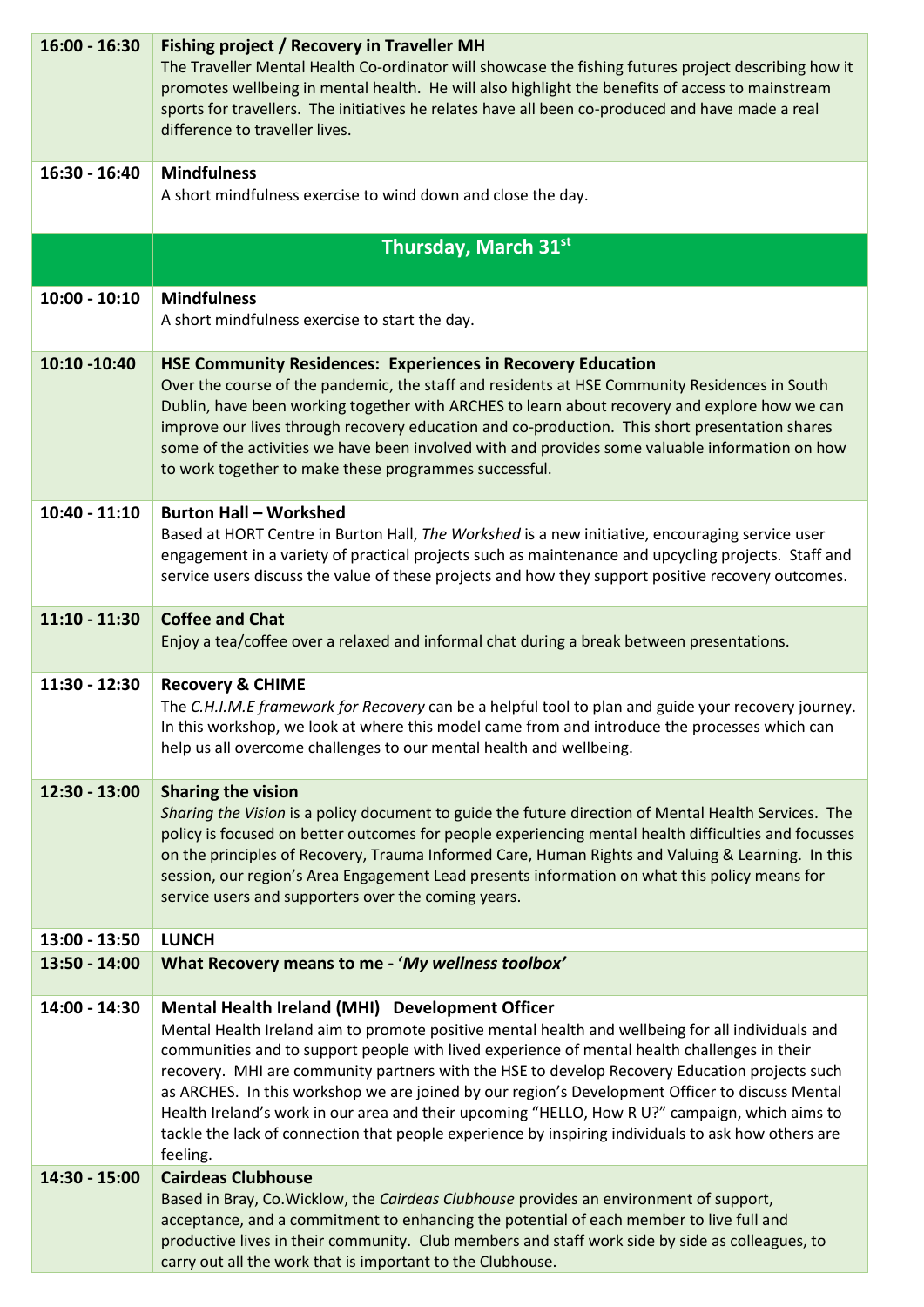| $16:00 - 16:30$ | <b>Fishing project / Recovery in Traveller MH</b><br>The Traveller Mental Health Co-ordinator will showcase the fishing futures project describing how it<br>promotes wellbeing in mental health. He will also highlight the benefits of access to mainstream<br>sports for travellers. The initiatives he relates have all been co-produced and have made a real<br>difference to traveller lives.                                                                                                                                                                                                                                                                           |
|-----------------|-------------------------------------------------------------------------------------------------------------------------------------------------------------------------------------------------------------------------------------------------------------------------------------------------------------------------------------------------------------------------------------------------------------------------------------------------------------------------------------------------------------------------------------------------------------------------------------------------------------------------------------------------------------------------------|
| 16:30 - 16:40   | <b>Mindfulness</b><br>A short mindfulness exercise to wind down and close the day.                                                                                                                                                                                                                                                                                                                                                                                                                                                                                                                                                                                            |
|                 | Thursday, March 31st                                                                                                                                                                                                                                                                                                                                                                                                                                                                                                                                                                                                                                                          |
|                 |                                                                                                                                                                                                                                                                                                                                                                                                                                                                                                                                                                                                                                                                               |
| $10:00 - 10:10$ | <b>Mindfulness</b><br>A short mindfulness exercise to start the day.                                                                                                                                                                                                                                                                                                                                                                                                                                                                                                                                                                                                          |
| 10:10 -10:40    | <b>HSE Community Residences: Experiences in Recovery Education</b><br>Over the course of the pandemic, the staff and residents at HSE Community Residences in South<br>Dublin, have been working together with ARCHES to learn about recovery and explore how we can<br>improve our lives through recovery education and co-production. This short presentation shares<br>some of the activities we have been involved with and provides some valuable information on how<br>to work together to make these programmes successful.                                                                                                                                            |
| 10:40 - 11:10   | <b>Burton Hall - Workshed</b><br>Based at HORT Centre in Burton Hall, The Workshed is a new initiative, encouraging service user<br>engagement in a variety of practical projects such as maintenance and upcycling projects. Staff and<br>service users discuss the value of these projects and how they support positive recovery outcomes.                                                                                                                                                                                                                                                                                                                                 |
| $11:10 - 11:30$ | <b>Coffee and Chat</b><br>Enjoy a tea/coffee over a relaxed and informal chat during a break between presentations.                                                                                                                                                                                                                                                                                                                                                                                                                                                                                                                                                           |
| 11:30 - 12:30   | <b>Recovery &amp; CHIME</b><br>The C.H.I.M.E framework for Recovery can be a helpful tool to plan and guide your recovery journey.<br>In this workshop, we look at where this model came from and introduce the processes which can<br>help us all overcome challenges to our mental health and wellbeing.                                                                                                                                                                                                                                                                                                                                                                    |
| 12:30 - 13:00   | <b>Sharing the vision</b><br>Sharing the Vision is a policy document to guide the future direction of Mental Health Services. The<br>policy is focused on better outcomes for people experiencing mental health difficulties and focusses<br>on the principles of Recovery, Trauma Informed Care, Human Rights and Valuing & Learning. In this<br>session, our region's Area Engagement Lead presents information on what this policy means for<br>service users and supporters over the coming years.                                                                                                                                                                        |
| 13:00 - 13:50   | <b>LUNCH</b>                                                                                                                                                                                                                                                                                                                                                                                                                                                                                                                                                                                                                                                                  |
| 13:50 - 14:00   | What Recovery means to me - 'My wellness toolbox'                                                                                                                                                                                                                                                                                                                                                                                                                                                                                                                                                                                                                             |
| 14:00 - 14:30   | Mental Health Ireland (MHI) Development Officer<br>Mental Health Ireland aim to promote positive mental health and wellbeing for all individuals and<br>communities and to support people with lived experience of mental health challenges in their<br>recovery. MHI are community partners with the HSE to develop Recovery Education projects such<br>as ARCHES. In this workshop we are joined by our region's Development Officer to discuss Mental<br>Health Ireland's work in our area and their upcoming "HELLO, How R U?" campaign, which aims to<br>tackle the lack of connection that people experience by inspiring individuals to ask how others are<br>feeling. |
| 14:30 - 15:00   | <b>Cairdeas Clubhouse</b><br>Based in Bray, Co.Wicklow, the Cairdeas Clubhouse provides an environment of support,<br>acceptance, and a commitment to enhancing the potential of each member to live full and<br>productive lives in their community. Club members and staff work side by side as colleagues, to<br>carry out all the work that is important to the Clubhouse.                                                                                                                                                                                                                                                                                                |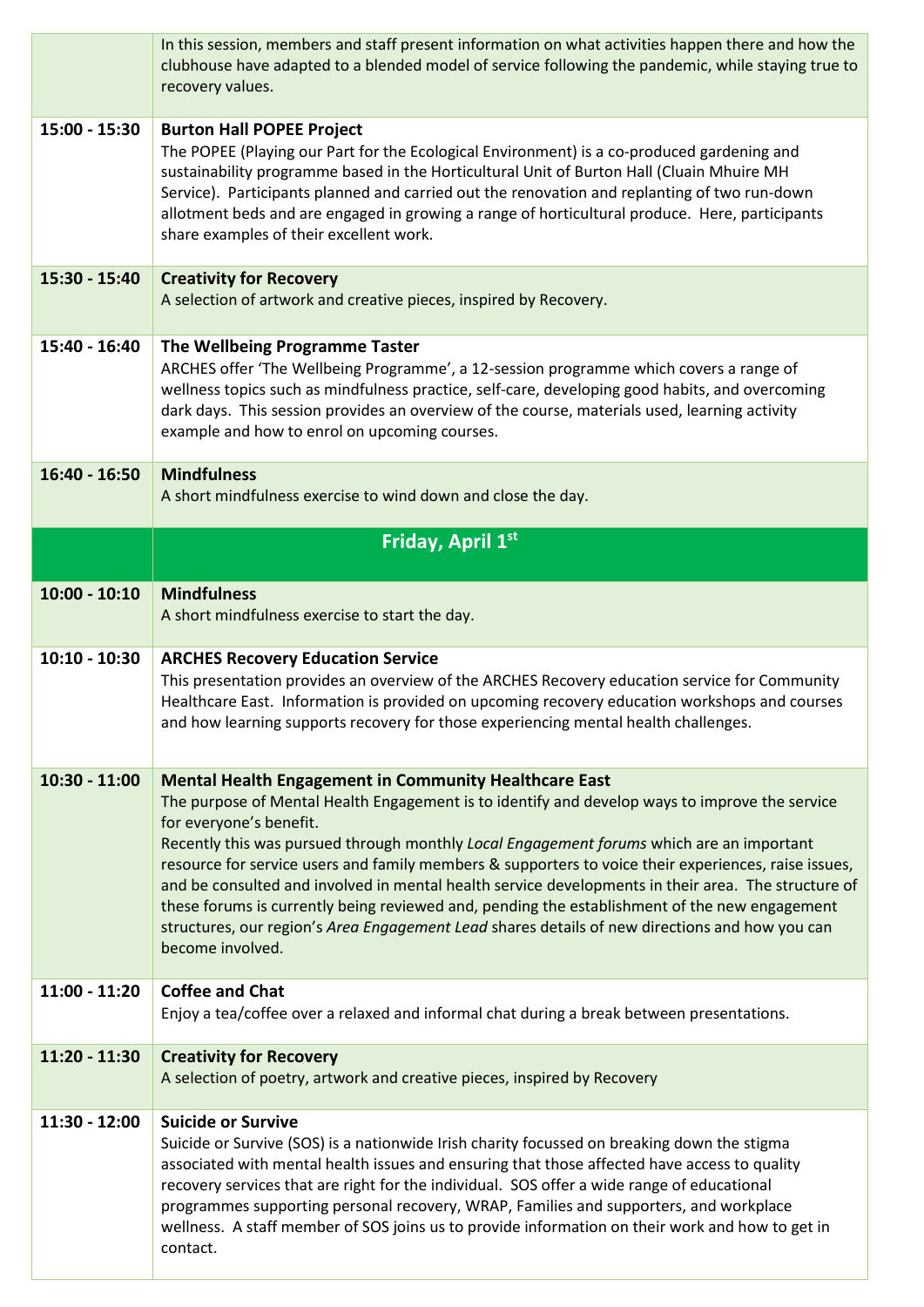|                 | In this session, members and staff present information on what activities happen there and how the<br>clubhouse have adapted to a blended model of service following the pandemic, while staying true to<br>recovery values.                                                                                                                                                                                                                                                                                                                                                                                                                                                                                                |
|-----------------|-----------------------------------------------------------------------------------------------------------------------------------------------------------------------------------------------------------------------------------------------------------------------------------------------------------------------------------------------------------------------------------------------------------------------------------------------------------------------------------------------------------------------------------------------------------------------------------------------------------------------------------------------------------------------------------------------------------------------------|
| 15:00 - 15:30   | <b>Burton Hall POPEE Project</b><br>The POPEE (Playing our Part for the Ecological Environment) is a co-produced gardening and<br>sustainability programme based in the Horticultural Unit of Burton Hall (Cluain Mhuire MH<br>Service). Participants planned and carried out the renovation and replanting of two run-down<br>allotment beds and are engaged in growing a range of horticultural produce. Here, participants<br>share examples of their excellent work.                                                                                                                                                                                                                                                    |
| 15:30 - 15:40   | <b>Creativity for Recovery</b><br>A selection of artwork and creative pieces, inspired by Recovery.                                                                                                                                                                                                                                                                                                                                                                                                                                                                                                                                                                                                                         |
| 15:40 - 16:40   | The Wellbeing Programme Taster<br>ARCHES offer 'The Wellbeing Programme', a 12-session programme which covers a range of<br>wellness topics such as mindfulness practice, self-care, developing good habits, and overcoming<br>dark days. This session provides an overview of the course, materials used, learning activity<br>example and how to enrol on upcoming courses.                                                                                                                                                                                                                                                                                                                                               |
| 16:40 - 16:50   | <b>Mindfulness</b><br>A short mindfulness exercise to wind down and close the day.                                                                                                                                                                                                                                                                                                                                                                                                                                                                                                                                                                                                                                          |
|                 | Friday, April 1st                                                                                                                                                                                                                                                                                                                                                                                                                                                                                                                                                                                                                                                                                                           |
| $10:00 - 10:10$ | <b>Mindfulness</b><br>A short mindfulness exercise to start the day.                                                                                                                                                                                                                                                                                                                                                                                                                                                                                                                                                                                                                                                        |
| $10:10 - 10:30$ | <b>ARCHES Recovery Education Service</b><br>This presentation provides an overview of the ARCHES Recovery education service for Community<br>Healthcare East. Information is provided on upcoming recovery education workshops and courses<br>and how learning supports recovery for those experiencing mental health challenges.                                                                                                                                                                                                                                                                                                                                                                                           |
| $10:30 - 11:00$ | <b>Mental Health Engagement in Community Healthcare East</b><br>The purpose of Mental Health Engagement is to identify and develop ways to improve the service<br>for everyone's benefit.<br>Recently this was pursued through monthly Local Engagement forums which are an important<br>resource for service users and family members & supporters to voice their experiences, raise issues,<br>and be consulted and involved in mental health service developments in their area. The structure of<br>these forums is currently being reviewed and, pending the establishment of the new engagement<br>structures, our region's Area Engagement Lead shares details of new directions and how you can<br>become involved. |
| $11:00 - 11:20$ | <b>Coffee and Chat</b><br>Enjoy a tea/coffee over a relaxed and informal chat during a break between presentations.                                                                                                                                                                                                                                                                                                                                                                                                                                                                                                                                                                                                         |
| 11:20 - 11:30   | <b>Creativity for Recovery</b><br>A selection of poetry, artwork and creative pieces, inspired by Recovery                                                                                                                                                                                                                                                                                                                                                                                                                                                                                                                                                                                                                  |
| 11:30 - 12:00   | <b>Suicide or Survive</b><br>Suicide or Survive (SOS) is a nationwide Irish charity focussed on breaking down the stigma<br>associated with mental health issues and ensuring that those affected have access to quality<br>recovery services that are right for the individual. SOS offer a wide range of educational<br>programmes supporting personal recovery, WRAP, Families and supporters, and workplace<br>wellness. A staff member of SOS joins us to provide information on their work and how to get in<br>contact.                                                                                                                                                                                              |